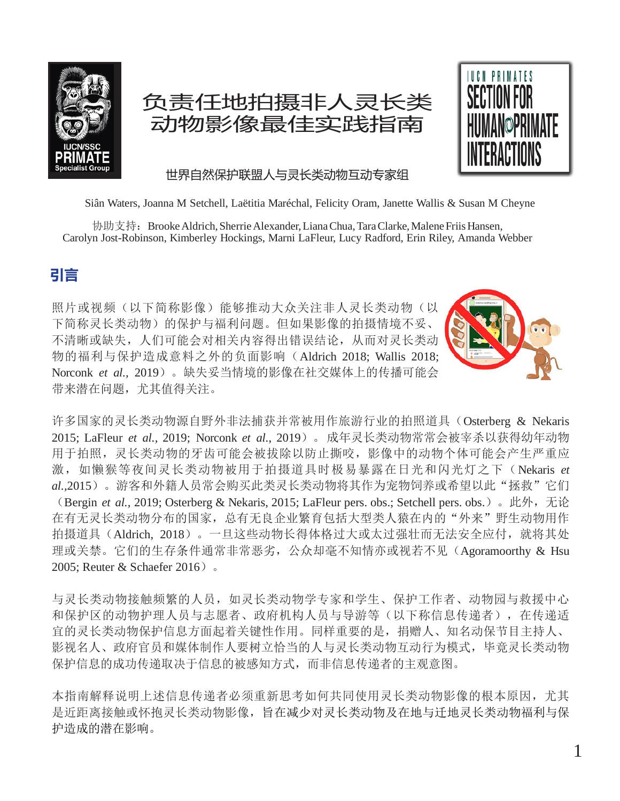

# 负责任地拍摄非人灵长类 动物影像最佳实践指南



世界自然保护联盟人与灵长类动物互动专家组

Siân Waters, Joanna M Setchell, Laëtitia Maréchal, Felicity Oram, Janette Wallis & Susan M Cheyne

协助支持: Brooke Aldrich, Sherrie Alexander, Liana Chua, Tara Clarke, Malene Friis Hansen, Carolyn Jost-Robinson, Kimberley Hockings, Marni LaFleur, Lucy Radford, Erin Riley, Amanda Webber

# **引言**

照片或视频(以下简称影像)能够推动大众关注非人灵长类动物(以 下简称灵长类动物)的保护与福利问题。但如果影像的拍摄情境不妥、 不清晰或缺失,人们可能会对相关内容得出错误结论,从而对灵长类动 物的福利与保护造成意料之外的负面影响(Aldrich 2018; Wallis 2018; Norconk *et al.,* 2019)。缺失妥当情境的影像在社交媒体上的传播可能会 带来潜在问题,尤其值得关注。



许多国家的灵长类动物源自野外非法捕获并常被用作旅游行业的拍照道具(Osterberg & Nekaris 2015; LaFleur *et al.,* 2019; Norconk *et al.*, 2019)。成年灵长类动物常常会被宰杀以获得幼年动物 用于拍照,灵长类动物的牙齿可能会被拔除以防止撕咬,影像中的动物个体可能会产生严重应 激,如懒猴等夜间灵长类动物被用于拍摄道具时极易暴露在日光和闪光灯之下(Nekaris *et* al.,2015)。游客和外籍人员常会购买此类灵长类动物将其作为宠物饲养或希望以此"拯救"它们 (Bergin *et al.,* 2019; Osterberg & Nekaris, 2015; LaFleur pers. obs.; Setchell pers. obs.)。此外,无论 在有无灵长类动物分布的国家,总有无良企业繁育包括大型类人猿在内的"外来"野生动物用作 拍摄道具(Aldrich, 2018)。一旦这些动物长得体格过大或太过强壮而无法安全应付,就将其处 理或关禁。它们的生存条件通常非常恶劣,公众却毫不知情亦或视若不见(Agoramoorthy & Hsu 2005; Reuter & Schaefer 2016)。

与灵长类动物接触频繁的人员,如灵长类动物学专家和学生、保护工作者、动物园与救援中心 和保护区的动物护理人员与志愿者、政府机构人员与导游等(以下称信息传递者),在传递适 宜的灵长类动物保护信息方面起着关键性作用。同样重要的是,捐赠人、知名动保节目主持人、 影视名人、政府官员和媒体制作人要树立恰当的人与灵长类动物互动行为模式,毕竟灵长类动物 保护信息的成功传递取决于信息的被感知方式,而非信息传递者的主观意图。

本指南解释说明上述信息传递者必须重新思考如何共同使用灵长类动物影像的根本原因,尤其 是近距离接触或怀抱灵长类动物影像,旨在减少对灵长类动物及在地与迁地灵长类动物福利与保 护造成的潜在影响。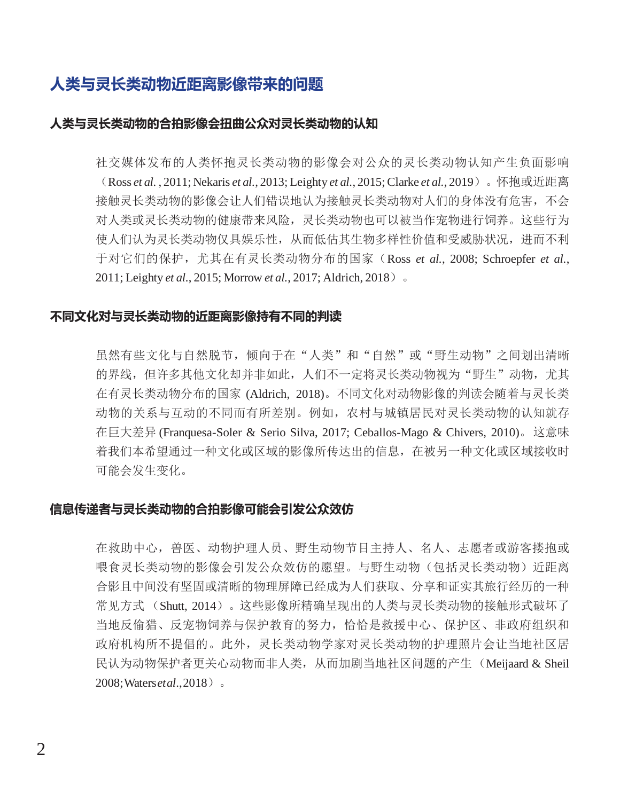# **人类与灵长类动物近距离影像带来的问题**

#### **人类与灵长类动物的合拍影像会扭曲公众对灵长类动物的认知**

社交媒体发布的人类怀抱灵长类动物的影像会对公众的灵长类动物认知产生负面影响 (Ross *et al.* , 2011; Nekaris *et al.*, 2013; Leighty *et al.*, 2015;Clarke *et al.*, 2019)。怀抱或近距离 接触灵长类动物的影像会让人们错误地认为接触灵长类动物对人们的身体没有危害,不会 对人类或灵长类动物的健康带来风险,灵长类动物也可以被当作宠物进行饲养。这些行为 使人们认为灵长类动物仅具娱乐性,从而低估其生物多样性价值和受威胁状况,进而不利 于对它们的保护,尤其在有灵长类动物分布的国家(Ross *et al.*, 2008; Schroepfer *et al.*, 2011; Leighty *et al.*, 2015; Morrow *et al.*, 2017; Aldrich, 2018)。

#### **不同文化对与灵长类动物的近距离影像持有不同的判读**

虽然有些文化与自然脱节,倾向于在"人类"和"自然"或"野生动物"之间划出清晰 的界线,但许多其他文化却并非如此,人们不一定将灵长类动物视为"野生"动物,尤其 在有灵长类动物分布的国家 (Aldrich, 2018)。不同文化对动物影像的判读会随着与灵长类 动物的关系与互动的不同而有所差别。例如,农村与城镇居民对灵长类动物的认知就存 在巨大差异 (Franquesa-Soler & Serio Silva, 2017; Ceballos-Mago & Chivers, 2010)。这意味 着我们本希望通过一种文化或区域的影像所传达出的信息,在被另一种文化或区域接收时 可能会发生变化。

#### **信息传递者与灵长类动物的合拍影像可能会引发公众效仿**

在救助中心,兽医、动物护理人员、野生动物节目主持人、名人、志愿者或游客搂抱或 喂食灵长类动物的影像会引发公众效仿的愿望。与野生动物(包括灵长类动物)近距离 合影且中间没有坚固或清晰的物理屏障已经成为人们获取、分享和证实其旅行经历的一种 常见方式 (Shutt, 2014)。这些影像所精确呈现出的人类与灵长类动物的接触形式破坏了 当地反偷猎、反宠物饲养与保护教育的努力,恰恰是救援中心、保护区、非政府组织和 政府机构所不提倡的。此外,灵长类动物学家对灵长类动物的护理照片会让当地社区居 民认为动物保护者更关心动物而非人类,从而加剧当地社区问题的产生(Meijaard & Sheil 2008;Waters*etal*.,2018)。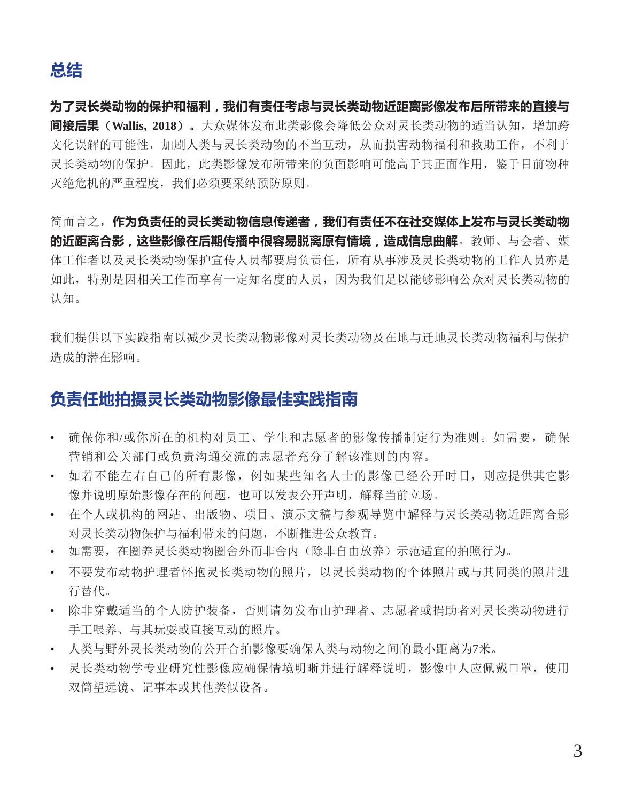**为了灵长类动物的保护和福利,我们有责任考虑与灵长类动物近距离影像发布后所带来的直接与 间接后果**(**Wallis, 2018**)。大众媒体发布此类影像会降低公众对灵长类动物的适当认知,增加跨 文化误解的可能性,加剧人类与灵长类动物的不当互动,从而损害动物福利和救助工作,不利于 灵长类动物的保护。因此,此类影像发布所带来的负面影响可能高于其正面作用,鉴于目前物种 灭绝危机的严重程度,我们必须要采纳预防原则。

简而言之,**作为负责任的灵长类动物信息传递者,我们有责任不在社交媒体上发布与灵长类动物 的近距离合影,这些影像在后期传播中很容易脱离原有情境,造成信息曲解**。教师、与会者、媒 体工作者以及灵长类动物保护宣传人员都要肩负责任,所有从事涉及灵长类动物的工作人员亦是 如此,特别是因相关工作而享有一定知名度的人员,因为我们足以能够影响公众对灵长类动物的 认知。

我们提供以下实践指南以减少灵长类动物影像对灵长类动物及在地与迁地灵长类动物福利与保护 造成的潜在影响。

## **负责任地拍摄灵长类动物影像最佳实践指南**

- 确保你和/或你所在的机构对员工、学生和志愿者的影像传播制定行为准则。如需要,确保 营销和公关部门或负责沟通交流的志愿者充分了解该准则的内容。
- 如若不能左右自己的所有影像,例如某些知名人士的影像已经公开时日,则应提供其它影 像并说明原始影像存在的问题,也可以发表公开声明,解释当前立场。
- 在个人或机构的网站、出版物、项目、演示文稿与参观导览中解释与灵长类动物近距离合影 对灵长类动物保护与福利带来的问题,不断推进公众教育。
- 如需要,在圈养灵长类动物圈舍外而非舍内(除非自由放养)示范适宜的拍照行为。
- 不要发布动物护理者怀抱灵长类动物的照片,以灵长类动物的个体照片或与其同类的照片进 行替代。
- 除非穿戴适当的个人防护装备,否则请勿发布由护理者、志愿者或捐助者对灵长类动物进行 手工喂养、与其玩耍或直接互动的照片。
- 人类与野外灵长类动物的公开合拍影像要确保人类与动物之间的最小距离为7米。
- 灵长类动物学专业研究性影像应确保情境明晰并进行解释说明,影像中人应佩戴口罩,使用 双筒望远镜、记事本或其他类似设备。